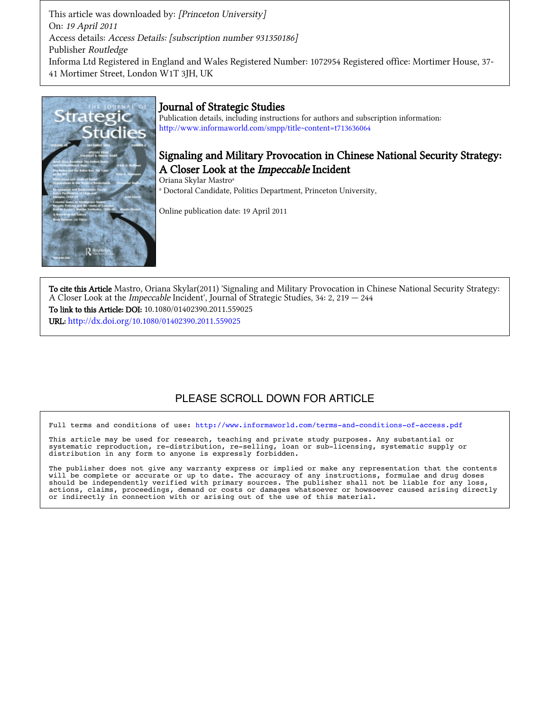This article was downloaded by: [Princeton University] On: 19 April 2011 Access details: Access Details: [subscription number 931350186] Publisher Routledge Informa Ltd Registered in England and Wales Registered Number: 1072954 Registered office: Mortimer House, 37-41 Mortimer Street, London W1T 3JH, UK



## Journal of Strategic Studies

Publication details, including instructions for authors and subscription information: http://www.informaworld.com/smpp/title~content=t713636064

## Signaling and Military Provocation in Chinese National Security Strategy: A Closer Look at the Impeccable Incident

Oriana Skylar Mastro<sup>a</sup> <sup>a</sup> Doctoral Candidate, Politics Department, Princeton University,

Online publication date: 19 April 2011

To cite this Article Mastro, Oriana Skylar(2011) 'Signaling and Military Provocation in Chinese National Security Strategy: A Closer Look at the Impeccable Incident', Journal of Strategic Studies, 34: 2, 219 - 244 To link to this Article: DOI: 10.1080/01402390.2011.559025 URL: http://dx.doi.org/10.1080/01402390.2011.559025

# PLEASE SCROLL DOWN FOR ARTICLE

Full terms and conditions of use: http://www.informaworld.com/terms-and-conditions-of-access.pdf

This article may be used for research, teaching and private study purposes. Any substantial or systematic reproduction, re-distribution, re-selling, loan or sub-licensing, systematic supply or distribution in any form to anyone is expressly forbidden.

The publisher does not give any warranty express or implied or make any representation that the contents will be complete or accurate or up to date. The accuracy of any instructions, formulae and drug doses should be independently verified with primary sources. The publisher shall not be liable for any loss, actions, claims, proceedings, demand or costs or damages whatsoever or howsoever caused arising directly or indirectly in connection with or arising out of the use of this material.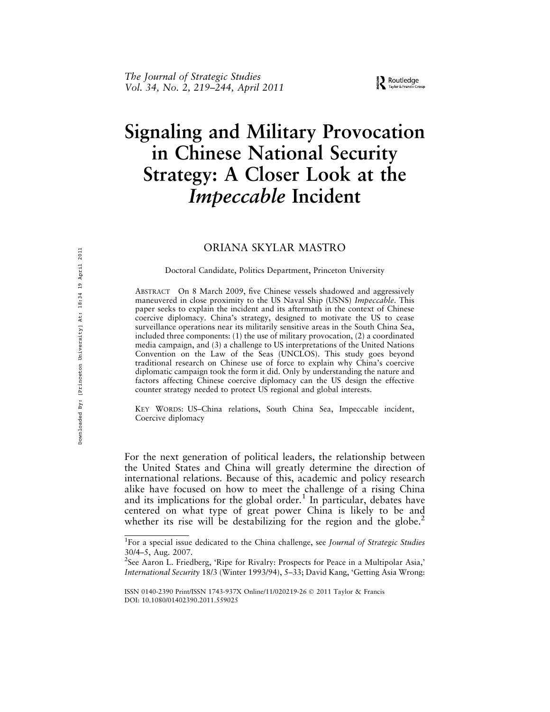# Signaling and Military Provocation in Chinese National Security Strategy: A Closer Look at the Impeccable Incident

## ORIANA SKYLAR MASTRO

#### Doctoral Candidate, Politics Department, Princeton University

ABSTRACT On 8 March 2009, five Chinese vessels shadowed and aggressively maneuvered in close proximity to the US Naval Ship (USNS) Impeccable. This paper seeks to explain the incident and its aftermath in the context of Chinese coercive diplomacy. China's strategy, designed to motivate the US to cease surveillance operations near its militarily sensitive areas in the South China Sea, included three components: (1) the use of military provocation, (2) a coordinated media campaign, and (3) a challenge to US interpretations of the United Nations Convention on the Law of the Seas (UNCLOS). This study goes beyond traditional research on Chinese use of force to explain why China's coercive diplomatic campaign took the form it did. Only by understanding the nature and factors affecting Chinese coercive diplomacy can the US design the effective counter strategy needed to protect US regional and global interests.

KEY WORDS: US–China relations, South China Sea, Impeccable incident, Coercive diplomacy

For the next generation of political leaders, the relationship between the United States and China will greatly determine the direction of international relations. Because of this, academic and policy research alike have focused on how to meet the challenge of a rising China and its implications for the global order.<sup>1</sup> In particular, debates have centered on what type of great power China is likely to be and whether its rise will be destabilizing for the region and the globe.<sup>2</sup>

<sup>&</sup>lt;sup>1</sup>For a special issue dedicated to the China challenge, see Journal of Strategic Studies 30/4–5, Aug. 2007.

<sup>&</sup>lt;sup>2</sup>See Aaron L. Friedberg, 'Ripe for Rivalry: Prospects for Peace in a Multipolar Asia,' International Security 18/3 (Winter 1993/94), 5–33; David Kang, 'Getting Asia Wrong:

ISSN 0140-2390 Print/ISSN 1743-937X Online/11/020219-26 ! 2011 Taylor & Francis DOI: 10.1080/01402390.2011.559025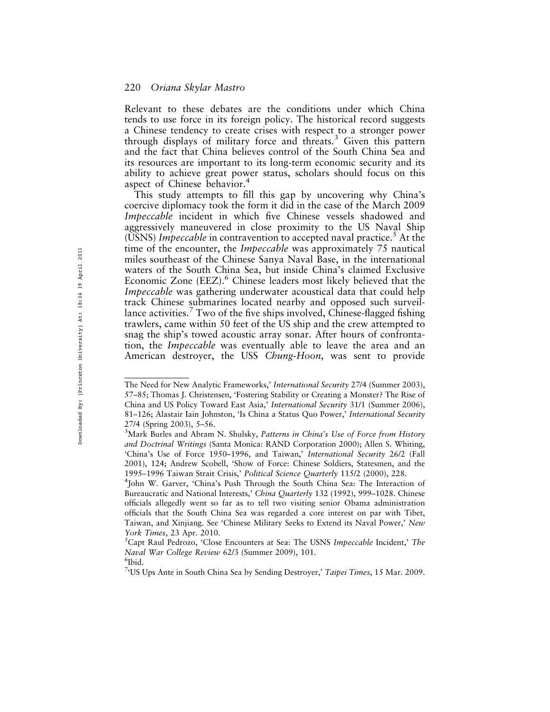Relevant to these debates are the conditions under which China tends to use force in its foreign policy. The historical record suggests a Chinese tendency to create crises with respect to a stronger power through displays of military force and threats.<sup>3</sup> Given this pattern and the fact that China believes control of the South China Sea and its resources are important to its long-term economic security and its ability to achieve great power status, scholars should focus on this aspect of Chinese behavior.<sup>4</sup>

This study attempts to fill this gap by uncovering why China's coercive diplomacy took the form it did in the case of the March 2009 Impeccable incident in which five Chinese vessels shadowed and aggressively maneuvered in close proximity to the US Naval Ship (USNS) Impeccable in contravention to accepted naval practice.<sup>5</sup> At the time of the encounter, the *Impeccable* was approximately 75 nautical miles southeast of the Chinese Sanya Naval Base, in the international waters of the South China Sea, but inside China's claimed Exclusive Economic Zone (EEZ).<sup>6</sup> Chinese leaders most likely believed that the Impeccable was gathering underwater acoustical data that could help track Chinese submarines located nearby and opposed such surveillance activities.<sup>7</sup> Two of the five ships involved, Chinese-flagged fishing trawlers, came within 50 feet of the US ship and the crew attempted to snag the ship's towed acoustic array sonar. After hours of confrontation, the Impeccable was eventually able to leave the area and an American destroyer, the USS Chung-Hoon, was sent to provide

The Need for New Analytic Frameworks,' International Security 27/4 (Summer 2003), 57–85; Thomas J. Christensen, 'Fostering Stability or Creating a Monster? The Rise of China and US Policy Toward East Asia,' International Security 31/1 (Summer 2006), 81–126; Alastair Iain Johnston, 'Is China a Status Quo Power,' International Security 27/4 (Spring 2003), 5–56.

<sup>&</sup>lt;sup>3</sup>Mark Burles and Abram N. Shulsky, Patterns in China's Use of Force from History and Doctrinal Writings (Santa Monica: RAND Corporation 2000); Allen S. Whiting, 'China's Use of Force 1950–1996, and Taiwan,' International Security 26/2 (Fall 2001), 124; Andrew Scobell, 'Show of Force: Chinese Soldiers, Statesmen, and the 1995–1996 Taiwan Strait Crisis,' Political Science Quarterly 115/2 (2000), 228. <sup>4</sup>

<sup>&</sup>lt;sup>4</sup>John W. Garver, 'China's Push Through the South China Sea: The Interaction of Bureaucratic and National Interests,' China Quarterly 132 (1992), 999-1028. Chinese officials allegedly went so far as to tell two visiting senior Obama administration officials that the South China Sea was regarded a core interest on par with Tibet, Taiwan, and Xinjiang. See 'Chinese Military Seeks to Extend its Naval Power,' New York Times, 23 Apr. 2010.

 ${}^5$ Capt Raul Pedrozo, 'Close Encounters at Sea: The USNS Impeccable Incident,' The Naval War College Review 62/3 (Summer 2009), 101.

<sup>&</sup>lt;sup>6</sup>Ibid.

<sup>&</sup>lt;sup>7</sup>'US Ups Ante in South China Sea by Sending Destroyer,' Taipei Times, 15 Mar. 2009.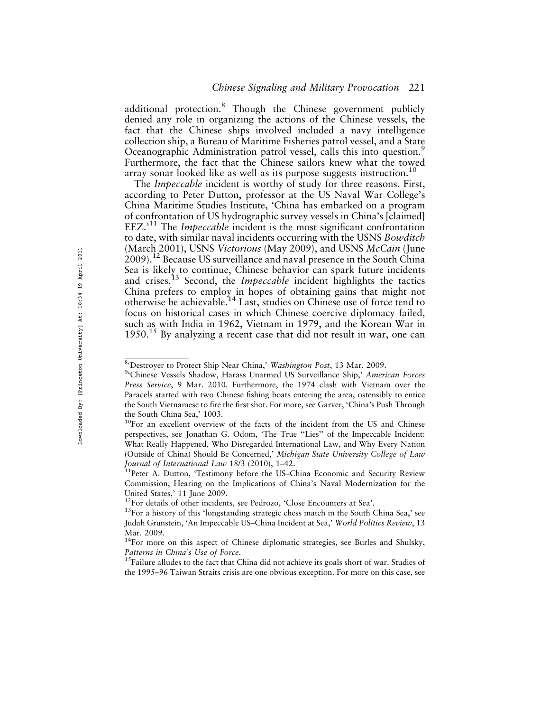additional protection.<sup>8</sup> Though the Chinese government publicly denied any role in organizing the actions of the Chinese vessels, the fact that the Chinese ships involved included a navy intelligence collection ship, a Bureau of Maritime Fisheries patrol vessel, and a State Oceanographic Administration patrol vessel, calls this into question.<sup>5</sup> Furthermore, the fact that the Chinese sailors knew what the towed array sonar looked like as well as its purpose suggests instruction.<sup>10</sup>

The Impeccable incident is worthy of study for three reasons. First, according to Peter Dutton, professor at the US Naval War College's China Maritime Studies Institute, 'China has embarked on a program of confrontation of US hydrographic survey vessels in China's [claimed]  $EEZ.^{11}$  The *Impeccable* incident is the most significant confrontation to date, with similar naval incidents occurring with the USNS Bowditch (March 2001), USNS Victorious (May 2009), and USNS McCain (June 2009).12 Because US surveillance and naval presence in the South China Sea is likely to continue, Chinese behavior can spark future incidents and crises.<sup>13</sup> Second, the *Impeccable* incident highlights the tactics China prefers to employ in hopes of obtaining gains that might not otherwise be achievable.14 Last, studies on Chinese use of force tend to focus on historical cases in which Chinese coercive diplomacy failed, such as with India in 1962, Vietnam in 1979, and the Korean War in  $1950<sup>15</sup>$  By analyzing a recent case that did not result in war, one can

<sup>&</sup>lt;sup>8</sup>'Destroyer to Protect Ship Near China,' Washington Post, 13 Mar. 2009.

<sup>&</sup>lt;sup>9</sup>'Chinese Vessels Shadow, Harass Unarmed US Surveillance Ship,' American Forces Press Service, 9 Mar. 2010. Furthermore, the 1974 clash with Vietnam over the Paracels started with two Chinese fishing boats entering the area, ostensibly to entice the South Vietnamese to fire the first shot. For more, see Garver, 'China's Push Through the South China Sea,' 1003.

<sup>&</sup>lt;sup>10</sup>For an excellent overview of the facts of the incident from the US and Chinese perspectives, see Jonathan G. Odom, 'The True ''Lies'' of the Impeccable Incident: What Really Happened, Who Disregarded International Law, and Why Every Nation (Outside of China) Should Be Concerned,' Michigan State University College of Law Journal of International Law 18/3 (2010), 1–42.<br><sup>11</sup>Peter A. Dutton, 'Testimony before the US–China Economic and Security Review

Commission, Hearing on the Implications of China's Naval Modernization for the United States,' 11 June 2009.<br><sup>12</sup>For details of other incidents, see Pedrozo, 'Close Encounters at Sea'.

 $13$ For a history of this 'longstanding strategic chess match in the South China Sea,' see Judah Grunstein, 'An Impeccable US–China Incident at Sea,' World Politics Review, 13 Mar. 2009.

<sup>&</sup>lt;sup>14</sup>For more on this aspect of Chinese diplomatic strategies, see Burles and Shulsky, Patterns in China's Use of Force.<br><sup>15</sup>Failure alludes to the fact that China did not achieve its goals short of war. Studies of

the 1995–96 Taiwan Straits crisis are one obvious exception. For more on this case, see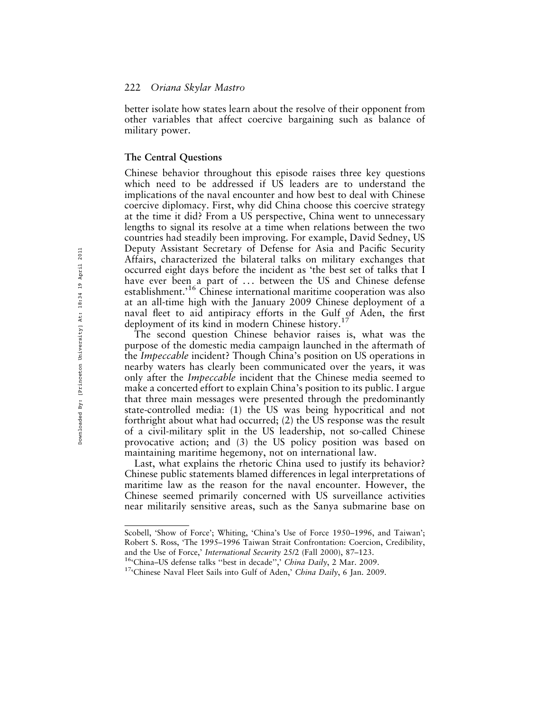better isolate how states learn about the resolve of their opponent from other variables that affect coercive bargaining such as balance of military power.

#### The Central Questions

Chinese behavior throughout this episode raises three key questions which need to be addressed if US leaders are to understand the implications of the naval encounter and how best to deal with Chinese coercive diplomacy. First, why did China choose this coercive strategy at the time it did? From a US perspective, China went to unnecessary lengths to signal its resolve at a time when relations between the two countries had steadily been improving. For example, David Sedney, US Deputy Assistant Secretary of Defense for Asia and Pacific Security Affairs, characterized the bilateral talks on military exchanges that occurred eight days before the incident as 'the best set of talks that I have ever been a part of ... between the US and Chinese defense establishment.<sup>16</sup> Chinese international maritime cooperation was also at an all-time high with the January 2009 Chinese deployment of a naval fleet to aid antipiracy efforts in the Gulf of Aden, the first deployment of its kind in modern Chinese history.<sup>17</sup>

The second question Chinese behavior raises is, what was the purpose of the domestic media campaign launched in the aftermath of the *Impeccable* incident? Though China's position on US operations in nearby waters has clearly been communicated over the years, it was only after the *Impeccable* incident that the Chinese media seemed to make a concerted effort to explain China's position to its public. I argue that three main messages were presented through the predominantly state-controlled media: (1) the US was being hypocritical and not forthright about what had occurred; (2) the US response was the result of a civil-military split in the US leadership, not so-called Chinese provocative action; and (3) the US policy position was based on maintaining maritime hegemony, not on international law.

Last, what explains the rhetoric China used to justify its behavior? Chinese public statements blamed differences in legal interpretations of maritime law as the reason for the naval encounter. However, the Chinese seemed primarily concerned with US surveillance activities near militarily sensitive areas, such as the Sanya submarine base on

Scobell, 'Show of Force'; Whiting, 'China's Use of Force 1950–1996, and Taiwan'; Robert S. Ross, 'The 1995–1996 Taiwan Strait Confrontation: Coercion, Credibility, and the Use of Force,' *International Security 25/2* (Fall 2000), 87–123.<br><sup>16</sup>'China–US defense talks ''best in decade'',' China Daily, 2 Mar. 2009.<br><sup>17</sup>'Chinese Naval Fleet Sails into Gulf of Aden,' China Daily, 6 Jan. 20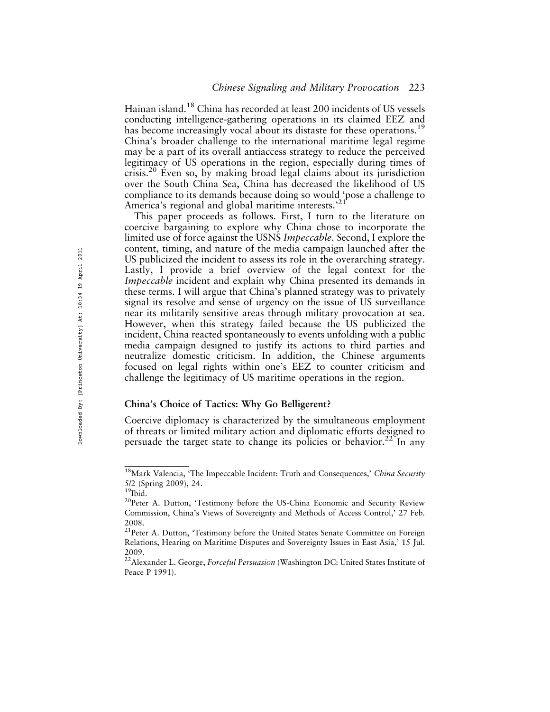Hainan island.18 China has recorded at least 200 incidents of US vessels conducting intelligence-gathering operations in its claimed EEZ and has become increasingly vocal about its distaste for these operations.<sup>19</sup> China's broader challenge to the international maritime legal regime may be a part of its overall antiaccess strategy to reduce the perceived legitimacy of US operations in the region, especially during times of crisis.20 Even so, by making broad legal claims about its jurisdiction over the South China Sea, China has decreased the likelihood of US compliance to its demands because doing so would 'pose a challenge to America's regional and global maritime interests.<sup>32</sup>

This paper proceeds as follows. First, I turn to the literature on coercive bargaining to explore why China chose to incorporate the limited use of force against the USNS Impeccable. Second, I explore the content, timing, and nature of the media campaign launched after the US publicized the incident to assess its role in the overarching strategy. Lastly, I provide a brief overview of the legal context for the Impeccable incident and explain why China presented its demands in these terms. I will argue that China's planned strategy was to privately signal its resolve and sense of urgency on the issue of US surveillance near its militarily sensitive areas through military provocation at sea. However, when this strategy failed because the US publicized the incident, China reacted spontaneously to events unfolding with a public media campaign designed to justify its actions to third parties and neutralize domestic criticism. In addition, the Chinese arguments focused on legal rights within one's EEZ to counter criticism and challenge the legitimacy of US maritime operations in the region.

#### China's Choice of Tactics: Why Go Belligerent?

Coercive diplomacy is characterized by the simultaneous employment of threats or limited military action and diplomatic efforts designed to persuade the target state to change its policies or behavior.<sup>22</sup> In any

<sup>&</sup>lt;sup>18</sup>Mark Valencia, 'The Impeccable Incident: Truth and Consequences,' China Security 5/2 (Spring 2009), 24.

<sup>&</sup>lt;sup>20</sup>Peter A. Dutton, 'Testimony before the US-China Economic and Security Review Commission, China's Views of Sovereignty and Methods of Access Control,' 27 Feb. 2008.

<sup>&</sup>lt;sup>21</sup>Peter A. Dutton, 'Testimony before the United States Senate Committee on Foreign Relations, Hearing on Maritime Disputes and Sovereignty Issues in East Asia,' 15 Jul. 2009.

<sup>&</sup>lt;sup>22</sup> Alexander L. George, Forceful Persuasion (Washington DC: United States Institute of Peace P 1991).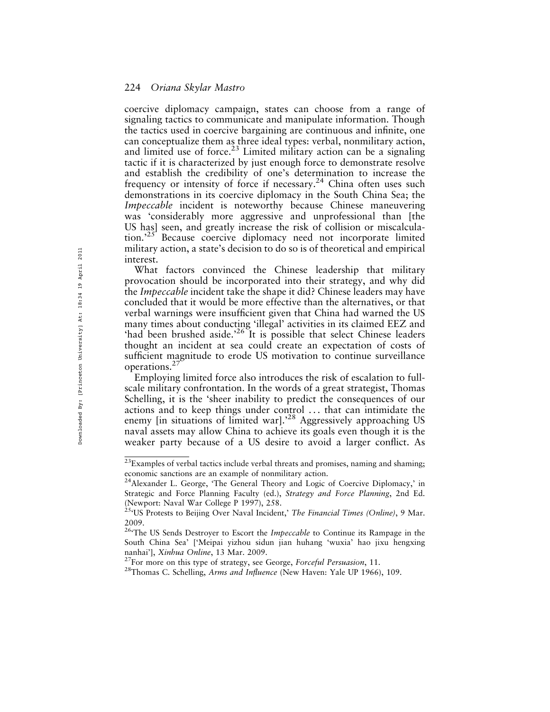coercive diplomacy campaign, states can choose from a range of signaling tactics to communicate and manipulate information. Though the tactics used in coercive bargaining are continuous and infinite, one can conceptualize them as three ideal types: verbal, nonmilitary action, and limited use of force.<sup>23</sup> Limited military action can be a signaling tactic if it is characterized by just enough force to demonstrate resolve and establish the credibility of one's determination to increase the frequency or intensity of force if necessary.<sup>24</sup> China often uses such demonstrations in its coercive diplomacy in the South China Sea; the Impeccable incident is noteworthy because Chinese maneuvering was 'considerably more aggressive and unprofessional than [the US has] seen, and greatly increase the risk of collision or miscalculation.<sup>25</sup> Because coercive diplomacy need not incorporate limited military action, a state's decision to do so is of theoretical and empirical interest.

What factors convinced the Chinese leadership that military provocation should be incorporated into their strategy, and why did the *Impeccable* incident take the shape it did? Chinese leaders may have concluded that it would be more effective than the alternatives, or that verbal warnings were insufficient given that China had warned the US many times about conducting 'illegal' activities in its claimed EEZ and 'had been brushed aside.<sup>26</sup> It is possible that select Chinese leaders thought an incident at sea could create an expectation of costs of sufficient magnitude to erode US motivation to continue surveillance operations.<sup>2</sup>

Employing limited force also introduces the risk of escalation to fullscale military confrontation. In the words of a great strategist, Thomas Schelling, it is the 'sheer inability to predict the consequences of our actions and to keep things under control . . . that can intimidate the enemy [in situations of limited war].<sup>28</sup> Aggressively approaching US naval assets may allow China to achieve its goals even though it is the weaker party because of a US desire to avoid a larger conflict. As

 $^{23}$ Examples of verbal tactics include verbal threats and promises, naming and shaming; economic sanctions are an example of nonmilitary action.

<sup>&</sup>lt;sup>24</sup> Alexander L. George, 'The General Theory and Logic of Coercive Diplomacy,' in Strategic and Force Planning Faculty (ed.), Strategy and Force Planning, 2nd Ed. (Newport: Naval War College P 1997), 258.

<sup>&</sup>lt;sup>25</sup><sup>US</sup> Protests to Beijing Over Naval Incident,' The Financial Times (Online), 9 Mar. 2009.

<sup>&</sup>lt;sup>26</sup>The US Sends Destroyer to Escort the Impeccable to Continue its Rampage in the South China Sea' ['Meipai yizhou sidun jian huhang 'wuxia' hao jixu hengxing nanhai'], *Xinhua Online*, 13 Mar. 2009.<br><sup>27</sup>For more on this type of strategy, see George, *Forceful Persuasion*, 11.<br><sup>28</sup>Thomas C. Schelling, *Arms and Influence* (New Haven: Yale UP 1966), 109.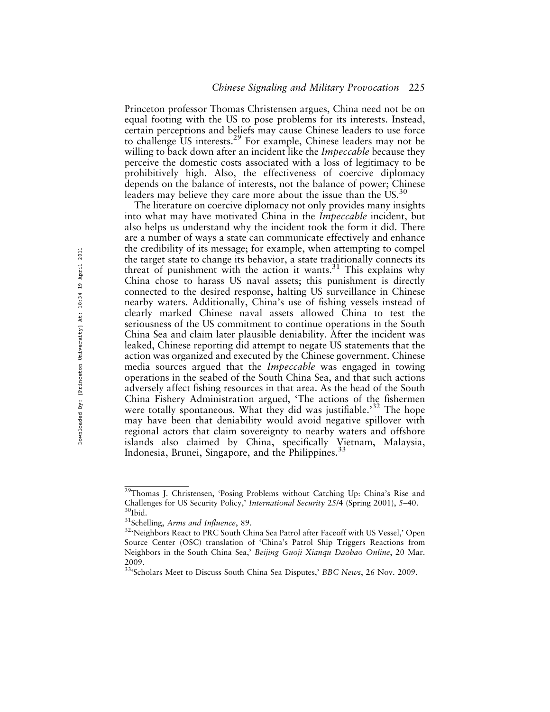Princeton professor Thomas Christensen argues, China need not be on equal footing with the US to pose problems for its interests. Instead, certain perceptions and beliefs may cause Chinese leaders to use force to challenge US interests.<sup>29</sup> For example, Chinese leaders may not be willing to back down after an incident like the *Impeccable* because they perceive the domestic costs associated with a loss of legitimacy to be prohibitively high. Also, the effectiveness of coercive diplomacy depends on the balance of interests, not the balance of power; Chinese leaders may believe they care more about the issue than the  $US^{30}$ 

The literature on coercive diplomacy not only provides many insights into what may have motivated China in the *Impeccable* incident, but also helps us understand why the incident took the form it did. There are a number of ways a state can communicate effectively and enhance the credibility of its message; for example, when attempting to compel the target state to change its behavior, a state traditionally connects its threat of punishment with the action it wants. $31$  This explains why China chose to harass US naval assets; this punishment is directly connected to the desired response, halting US surveillance in Chinese nearby waters. Additionally, China's use of fishing vessels instead of clearly marked Chinese naval assets allowed China to test the seriousness of the US commitment to continue operations in the South China Sea and claim later plausible deniability. After the incident was leaked, Chinese reporting did attempt to negate US statements that the action was organized and executed by the Chinese government. Chinese media sources argued that the Impeccable was engaged in towing operations in the seabed of the South China Sea, and that such actions adversely affect fishing resources in that area. As the head of the South China Fishery Administration argued, 'The actions of the fishermen were totally spontaneous. What they did was justifiable.<sup>32</sup> The hope may have been that deniability would avoid negative spillover with regional actors that claim sovereignty to nearby waters and offshore islands also claimed by China, specifically Vietnam, Malaysia, Indonesia, Brunei, Singapore, and the Philippines.  $33$ 

<sup>&</sup>lt;sup>29</sup>Thomas J. Christensen, 'Posing Problems without Catching Up: China's Rise and Challenges for US Security Policy,' *International Security 25/4* (Spring 2001), 5–40.<br><sup>30</sup>Ibid. <sup>31</sup>Schelling, *Arms and Influence*, 89. <sup>32</sup>'Neighbors React to PRC South China Sea Patrol after Faceoff with US Vessel,' Op

Source Center (OSC) translation of 'China's Patrol Ship Triggers Reactions from Neighbors in the South China Sea,' Beijing Guoji Xianqu Daobao Online, 20 Mar. 2009.

<sup>&</sup>lt;sup>334</sup>Scholars Meet to Discuss South China Sea Disputes,' BBC News, 26 Nov. 2009.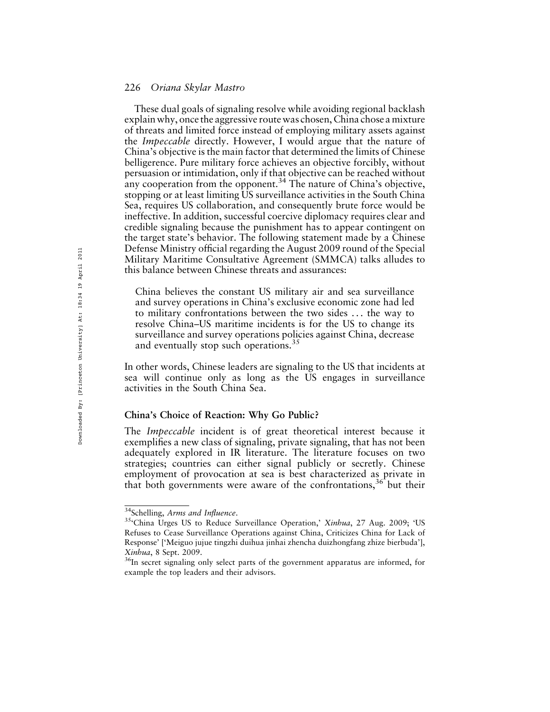These dual goals of signaling resolve while avoiding regional backlash explain why, once the aggressive route was chosen, China chose a mixture of threats and limited force instead of employing military assets against the Impeccable directly. However, I would argue that the nature of China's objective is the main factor that determined the limits of Chinese belligerence. Pure military force achieves an objective forcibly, without persuasion or intimidation, only if that objective can be reached without any cooperation from the opponent.<sup>34</sup> The nature of China's objective, stopping or at least limiting US surveillance activities in the South China Sea, requires US collaboration, and consequently brute force would be ineffective. In addition, successful coercive diplomacy requires clear and credible signaling because the punishment has to appear contingent on the target state's behavior. The following statement made by a Chinese Defense Ministry official regarding the August 2009 round of the Special Military Maritime Consultative Agreement (SMMCA) talks alludes to this balance between Chinese threats and assurances:

China believes the constant US military air and sea surveillance and survey operations in China's exclusive economic zone had led to military confrontations between the two sides . . . the way to resolve China–US maritime incidents is for the US to change its surveillance and survey operations policies against China, decrease and eventually stop such operations.<sup>35</sup>

In other words, Chinese leaders are signaling to the US that incidents at sea will continue only as long as the US engages in surveillance activities in the South China Sea.

#### China's Choice of Reaction: Why Go Public?

The *Impeccable* incident is of great theoretical interest because it exemplifies a new class of signaling, private signaling, that has not been adequately explored in IR literature. The literature focuses on two strategies; countries can either signal publicly or secretly. Chinese employment of provocation at sea is best characterized as private in that both governments were aware of the confrontations,  $36$  but their

<sup>&</sup>lt;sup>34</sup>Schelling, Arms and Influence.<br><sup>35</sup>'China Urges US to Reduce Surveillance Operation,' *Xinhua*, 27 Aug. 2009; 'US Refuses to Cease Surveillance Operations against China, Criticizes China for Lack of Response' ['Meiguo jujue tingzhi duihua jinhai zhencha duizhongfang zhize bierbuda'], Xinhua, 8 Sept. 2009.<br><sup>36</sup>In secret signaling only select parts of the government apparatus are informed, for

example the top leaders and their advisors.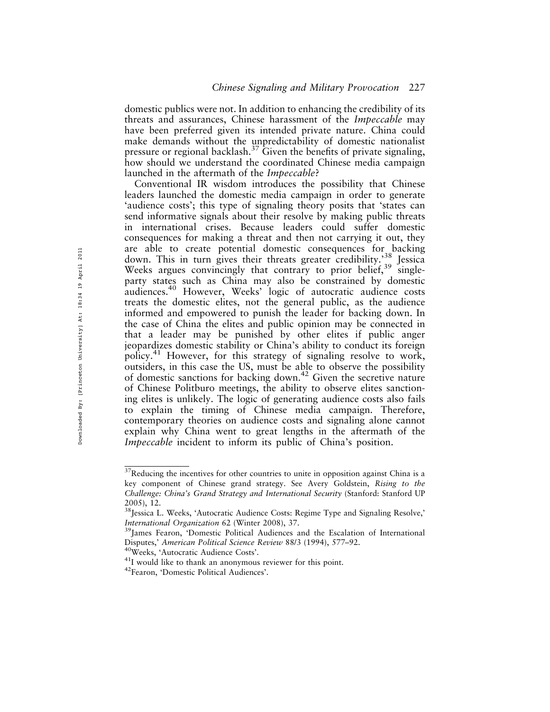domestic publics were not. In addition to enhancing the credibility of its threats and assurances, Chinese harassment of the Impeccable may have been preferred given its intended private nature. China could make demands without the unpredictability of domestic nationalist pressure or regional backlash.37 Given the benefits of private signaling, how should we understand the coordinated Chinese media campaign launched in the aftermath of the Impeccable?

Conventional IR wisdom introduces the possibility that Chinese leaders launched the domestic media campaign in order to generate 'audience costs'; this type of signaling theory posits that 'states can send informative signals about their resolve by making public threats in international crises. Because leaders could suffer domestic consequences for making a threat and then not carrying it out, they are able to create potential domestic consequences for backing down. This in turn gives their threats greater credibility.<sup>38</sup> Jessica Weeks argues convincingly that contrary to prior belief,  $39$  singleparty states such as China may also be constrained by domestic audiences.<sup>40</sup> However, Weeks' logic of autocratic audience costs treats the domestic elites, not the general public, as the audience informed and empowered to punish the leader for backing down. In the case of China the elites and public opinion may be connected in that a leader may be punished by other elites if public anger jeopardizes domestic stability or China's ability to conduct its foreign policy.<sup>41</sup> However, for this strategy of signaling resolve to work, outsiders, in this case the US, must be able to observe the possibility of domestic sanctions for backing down.42 Given the secretive nature of Chinese Politburo meetings, the ability to observe elites sanctioning elites is unlikely. The logic of generating audience costs also fails to explain the timing of Chinese media campaign. Therefore, contemporary theories on audience costs and signaling alone cannot explain why China went to great lengths in the aftermath of the Impeccable incident to inform its public of China's position.

 $37$ Reducing the incentives for other countries to unite in opposition against China is a key component of Chinese grand strategy. See Avery Goldstein, Rising to the Challenge: China's Grand Strategy and International Security (Stanford: Stanford UP 2005), 12.

<sup>&</sup>lt;sup>38</sup> Jessica L. Weeks, 'Autocratic Audience Costs: Regime Type and Signaling Resolve,' International Organization 62 (Winter 2008), 37.<br><sup>39</sup>James Fearon, 'Domestic Political Audiences and the Escalation of International

Disputes,' American Political Science Review 88/3 (1994), 577–92.<br><sup>40</sup>Weeks, 'Autocratic Audience Costs'.<br><sup>41</sup>I would like to thank an anonymous reviewer for this point.<br><sup>42</sup>Fearon, 'Domestic Political Audiences'.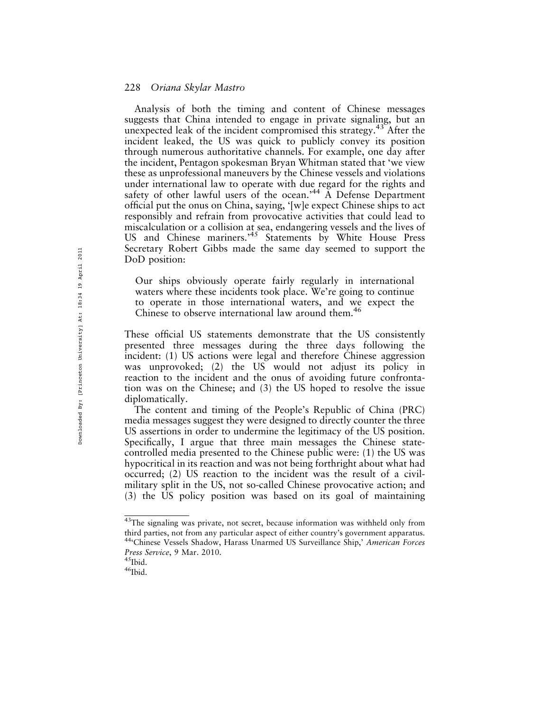Analysis of both the timing and content of Chinese messages suggests that China intended to engage in private signaling, but an unexpected leak of the incident compromised this strategy.<sup>43</sup> After the incident leaked, the US was quick to publicly convey its position through numerous authoritative channels. For example, one day after the incident, Pentagon spokesman Bryan Whitman stated that 'we view these as unprofessional maneuvers by the Chinese vessels and violations under international law to operate with due regard for the rights and safety of other lawful users of the ocean.<sup>44</sup>  $\stackrel{\sim}{A}$  Defense Department official put the onus on China, saying, '[w]e expect Chinese ships to act responsibly and refrain from provocative activities that could lead to miscalculation or a collision at sea, endangering vessels and the lives of US and Chinese mariners.<sup>45</sup> Statements by White House Press Secretary Robert Gibbs made the same day seemed to support the DoD position:

Our ships obviously operate fairly regularly in international waters where these incidents took place. We're going to continue to operate in those international waters, and we expect the Chinese to observe international law around them.<sup>46</sup>

These official US statements demonstrate that the US consistently presented three messages during the three days following the incident: (1) US actions were legal and therefore Chinese aggression was unprovoked; (2) the US would not adjust its policy in reaction to the incident and the onus of avoiding future confrontation was on the Chinese; and (3) the US hoped to resolve the issue diplomatically.

The content and timing of the People's Republic of China (PRC) media messages suggest they were designed to directly counter the three US assertions in order to undermine the legitimacy of the US position. Specifically, I argue that three main messages the Chinese statecontrolled media presented to the Chinese public were: (1) the US was hypocritical in its reaction and was not being forthright about what had occurred; (2) US reaction to the incident was the result of a civilmilitary split in the US, not so-called Chinese provocative action; and (3) the US policy position was based on its goal of maintaining

<sup>&</sup>lt;sup>43</sup>The signaling was private, not secret, because information was withheld only from third parties, not from any particular aspect of either country's government apparatus. 44<sup>c</sup>Chinese Vessels Shadow, Harass Unarmed US Surveillance Ship,' American Forces Press Service, 9 Mar. 2010.<br><sup>45</sup>Ibid.<br><sup>46</sup>Ibid.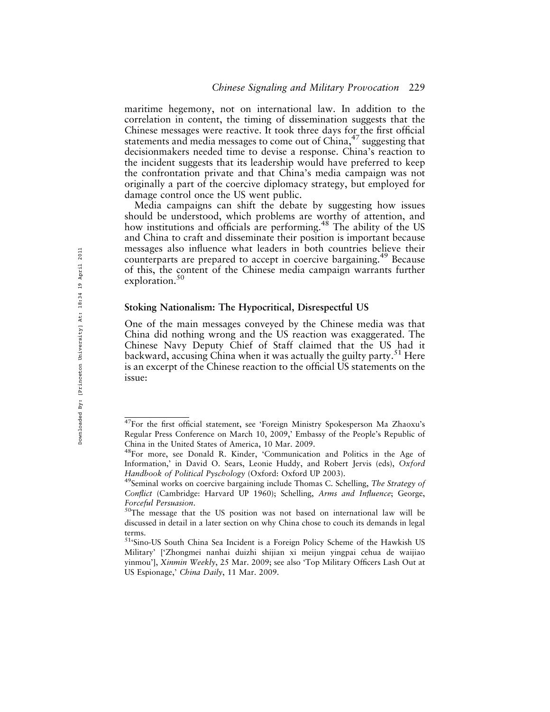maritime hegemony, not on international law. In addition to the correlation in content, the timing of dissemination suggests that the Chinese messages were reactive. It took three days for the first official statements and media messages to come out of  $China<sub>1</sub><sup>47</sup>$  suggesting that decisionmakers needed time to devise a response. China's reaction to the incident suggests that its leadership would have preferred to keep the confrontation private and that China's media campaign was not originally a part of the coercive diplomacy strategy, but employed for damage control once the US went public.

Media campaigns can shift the debate by suggesting how issues should be understood, which problems are worthy of attention, and how institutions and officials are performing.<sup>48</sup> The ability of the US and China to craft and disseminate their position is important because messages also influence what leaders in both countries believe their counterparts are prepared to accept in coercive bargaining.<sup>49</sup> Because of this, the content of the Chinese media campaign warrants further exploration.<sup>50</sup>

#### Stoking Nationalism: The Hypocritical, Disrespectful US

One of the main messages conveyed by the Chinese media was that China did nothing wrong and the US reaction was exaggerated. The Chinese Navy Deputy Chief of Staff claimed that the US had it backward, accusing China when it was actually the guilty party.<sup>51</sup> Here is an excerpt of the Chinese reaction to the official US statements on the issue:

<sup>&</sup>lt;sup>47</sup>For the first official statement, see 'Foreign Ministry Spokesperson Ma Zhaoxu's Regular Press Conference on March 10, 2009,' Embassy of the People's Republic of China in the United States of America, 10 Mar. 2009.

<sup>&</sup>lt;sup>48</sup>For more, see Donald R. Kinder, 'Communication and Politics in the Age of Information,' in David O. Sears, Leonie Huddy, and Robert Jervis (eds), Oxford Handbook of Political Pyschology (Oxford: Oxford UP 2003).<br><sup>49</sup>Seminal works on coercive bargaining include Thomas C. Schelling, The Strategy of

Conflict (Cambridge: Harvard UP 1960); Schelling, Arms and Influence; George, Forceful Persuasion.<br><sup>50</sup>The message that the US position was not based on international law will be

discussed in detail in a later section on why China chose to couch its demands in legal terms.

<sup>51&#</sup>x27;Sino-US South China Sea Incident is a Foreign Policy Scheme of the Hawkish US Military' ['Zhongmei nanhai duizhi shijian xi meijun yingpai cehua de waijiao yinmou'], Xinmin Weekly, 25 Mar. 2009; see also 'Top Military Officers Lash Out at US Espionage,' China Daily, 11 Mar. 2009.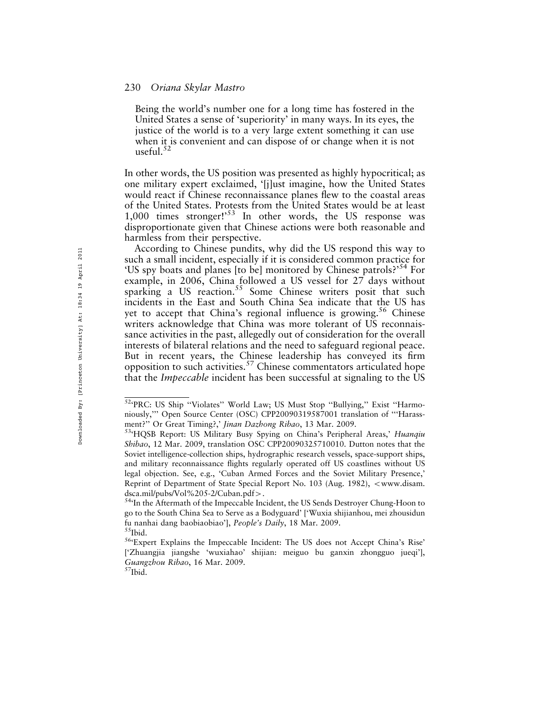Being the world's number one for a long time has fostered in the United States a sense of 'superiority' in many ways. In its eyes, the justice of the world is to a very large extent something it can use when it is convenient and can dispose of or change when it is not useful.<sup>52</sup>

In other words, the US position was presented as highly hypocritical; as one military expert exclaimed, '[j]ust imagine, how the United States would react if Chinese reconnaissance planes flew to the coastal areas of the United States. Protests from the United States would be at least 1,000 times stronger!<sup>53</sup> In other words, the US response was disproportionate given that Chinese actions were both reasonable and harmless from their perspective.

According to Chinese pundits, why did the US respond this way to such a small incident, especially if it is considered common practice for 'US spy boats and planes [to be] monitored by Chinese patrols?'54 For example, in 2006, China followed a US vessel for 27 days without sparking a US reaction.<sup>55</sup> Some Chinese writers posit that such incidents in the East and South China Sea indicate that the US has yet to accept that China's regional influence is growing.<sup>56</sup> Chinese writers acknowledge that China was more tolerant of US reconnaissance activities in the past, allegedly out of consideration for the overall interests of bilateral relations and the need to safeguard regional peace. But in recent years, the Chinese leadership has conveyed its firm opposition to such activities.<sup>57</sup> Chinese commentators articulated hope that the Impeccable incident has been successful at signaling to the US

<sup>52&#</sup>x27;PRC: US Ship ''Violates'' World Law; US Must Stop ''Bullying,'' Exist ''Harmoniously,''' Open Source Center (OSC) CPP20090319587001 translation of '''Harassment?'' Or Great Timing?,' Jinan Dazhong Ribao, 13 Mar. 2009.<br><sup>53</sup>'HQSB Report: US Military Busy Spying on China's Peripheral Areas,' *Huanqiu* 

Shibao, 12 Mar. 2009, translation OSC CPP20090325710010. Dutton notes that the Soviet intelligence-collection ships, hydrographic research vessels, space-support ships, and military reconnaissance flights regularly operated off US coastlines without US legal objection. See, e.g., 'Cuban Armed Forces and the Soviet Military Presence,' Reprint of Department of State Special Report No. 103 (Aug. 1982), <www.disam.

dsca.mil/pubs/Vol%205-2/Cuban.pdf>.<br><sup>54</sup>'In the Aftermath of the Impeccable Incident, the US Sends Destroyer Chung-Hoon to go to the South China Sea to Serve as a Bodyguard' ['Wuxia shijianhou, mei zhousidun fu nanhai dang baobiaobiao'], *People's Daily*, 18 Mar. 2009.<br><sup>55</sup>Ibid.<br><sup>56</sup>'Expert Explains the Impeccable Incident: The US does not Accept China's Rise'

<sup>[&#</sup>x27;Zhuangjia jiangshe 'wuxiahao' shijian: meiguo bu ganxin zhongguo jueqi'], Guangzhou Ribao, 16 Mar. 2009.<br><sup>57</sup>Ibid.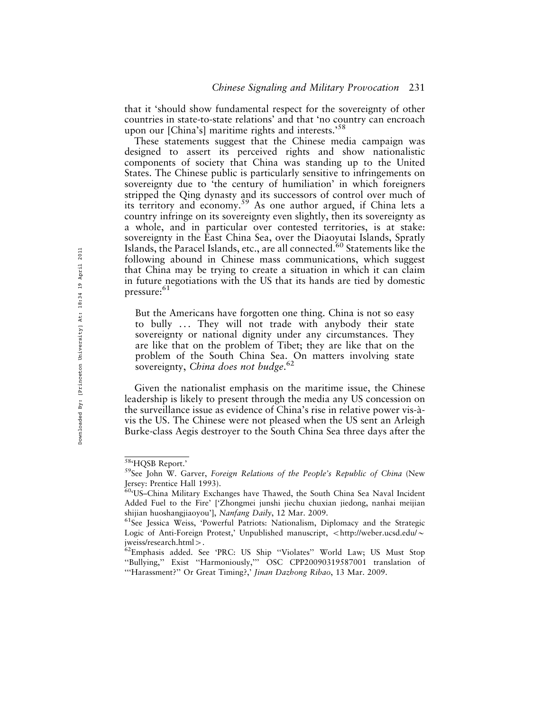that it 'should show fundamental respect for the sovereignty of other countries in state-to-state relations' and that 'no country can encroach upon our [China's] maritime rights and interests.<sup>58</sup>

These statements suggest that the Chinese media campaign was designed to assert its perceived rights and show nationalistic components of society that China was standing up to the United States. The Chinese public is particularly sensitive to infringements on sovereignty due to 'the century of humiliation' in which foreigners stripped the Qing dynasty and its successors of control over much of its territory and economy.<sup>59</sup> As one author argued, if China lets a country infringe on its sovereignty even slightly, then its sovereignty as a whole, and in particular over contested territories, is at stake: sovereignty in the East China Sea, over the Diaoyutai Islands, Spratly Islands, the Paracel Islands, etc., are all connected.<sup>60</sup> Statements like the following abound in Chinese mass communications, which suggest that China may be trying to create a situation in which it can claim in future negotiations with the US that its hands are tied by domestic pressure: $61$ 

But the Americans have forgotten one thing. China is not so easy to bully ... They will not trade with anybody their state sovereignty or national dignity under any circumstances. They are like that on the problem of Tibet; they are like that on the problem of the South China Sea. On matters involving state sovereignty, China does not budge.<sup>62</sup>

Given the nationalist emphasis on the maritime issue, the Chinese leadership is likely to present through the media any US concession on the surveillance issue as evidence of China's rise in relative power vis-a` vis the US. The Chinese were not pleased when the US sent an Arleigh Burke-class Aegis destroyer to the South China Sea three days after the

<sup>&</sup>lt;sup>58</sup>'HQSB Report.'<br><sup>59</sup>See John W. Garver, Foreign Relations of the People's Republic of China (New Jersey: Prentice Hall 1993).

<sup>60&#</sup>x27;US–China Military Exchanges have Thawed, the South China Sea Naval Incident Added Fuel to the Fire' ['Zhongmei junshi jiechu chuxian jiedong, nanhai meijian shijian huoshangjiaoyou'], *Nanfang Daily*, 12 Mar. 2009.<br><sup>61</sup>See Jessica Weiss, 'Powerful Patriots: Nationalism, Diplomacy and the Strategic

Logic of Anti-Foreign Protest,' Unpublished manuscript, <http://weber.ucsd.edu/ $\sim$ 

jweiss/research.html>.<br><sup>62</sup>Emphasis added. See 'PRC: US Ship ''Violates'' World Law; US Must Stop ''Bullying,'' Exist ''Harmoniously,''' OSC CPP20090319587001 translation of "Harassment?" Or Great Timing?,' Jinan Dazhong Ribao, 13 Mar. 2009.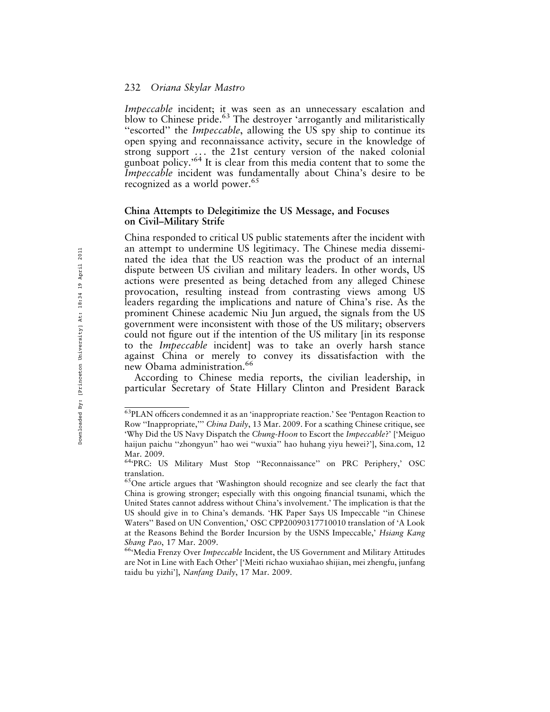Impeccable incident; it was seen as an unnecessary escalation and blow to Chinese pride.<sup>63</sup> The destroyer 'arrogantly and militaristically "escorted" the *Impeccable*, allowing the US spy ship to continue its open spying and reconnaissance activity, secure in the knowledge of strong support ... the 21st century version of the naked colonial gunboat policy.<sup>'64</sup> It is clear from this media content that to some the Impeccable incident was fundamentally about China's desire to be recognized as a world power.<sup>65</sup>

#### China Attempts to Delegitimize the US Message, and Focuses on Civil–Military Strife

China responded to critical US public statements after the incident with an attempt to undermine US legitimacy. The Chinese media disseminated the idea that the US reaction was the product of an internal dispute between US civilian and military leaders. In other words, US actions were presented as being detached from any alleged Chinese provocation, resulting instead from contrasting views among US leaders regarding the implications and nature of China's rise. As the prominent Chinese academic Niu Jun argued, the signals from the US government were inconsistent with those of the US military; observers could not figure out if the intention of the US military [in its response to the Impeccable incident] was to take an overly harsh stance against China or merely to convey its dissatisfaction with the new Obama administration.<sup>66</sup>

According to Chinese media reports, the civilian leadership, in particular Secretary of State Hillary Clinton and President Barack

<sup>63</sup>PLAN officers condemned it as an 'inappropriate reaction.' See 'Pentagon Reaction to Row "Inappropriate," China Daily, 13 Mar. 2009. For a scathing Chinese critique, see 'Why Did the US Navy Dispatch the Chung-Hoon to Escort the Impeccable?' ['Meiguo haijun paichu ''zhongyun'' hao wei ''wuxia'' hao huhang yiyu hewei?'], Sina.com, 12 Mar. 2009.

<sup>64&#</sup>x27;PRC: US Military Must Stop ''Reconnaissance'' on PRC Periphery,' OSC translation.

<sup>65</sup>One article argues that 'Washington should recognize and see clearly the fact that China is growing stronger; especially with this ongoing financial tsunami, which the United States cannot address without China's involvement.' The implication is that the US should give in to China's demands. 'HK Paper Says US Impeccable ''in Chinese Waters'' Based on UN Convention,' OSC CPP20090317710010 translation of 'A Look at the Reasons Behind the Border Incursion by the USNS Impeccable,' Hsiang Kang Shang Pao, 17 Mar. 2009.<br><sup>66</sup>'Media Frenzy Over Impeccable Incident, the US Government and Military Attitudes

are Not in Line with Each Other' ['Meiti richao wuxiahao shijian, mei zhengfu, junfang taidu bu yizhi'], Nanfang Daily, 17 Mar. 2009.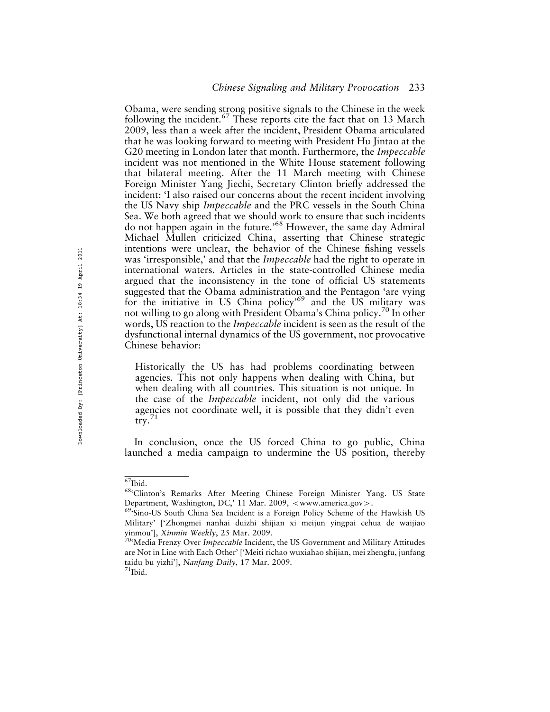Obama, were sending strong positive signals to the Chinese in the week following the incident.<sup>67</sup> These reports cite the fact that on 13 March 2009, less than a week after the incident, President Obama articulated that he was looking forward to meeting with President Hu Jintao at the G20 meeting in London later that month. Furthermore, the *Impeccable* incident was not mentioned in the White House statement following that bilateral meeting. After the 11 March meeting with Chinese Foreign Minister Yang Jiechi, Secretary Clinton briefly addressed the incident: 'I also raised our concerns about the recent incident involving the US Navy ship Impeccable and the PRC vessels in the South China Sea. We both agreed that we should work to ensure that such incidents do not happen again in the future.'68 However, the same day Admiral Michael Mullen criticized China, asserting that Chinese strategic intentions were unclear, the behavior of the Chinese fishing vessels was 'irresponsible,' and that the *Impeccable* had the right to operate in international waters. Articles in the state-controlled Chinese media argued that the inconsistency in the tone of official US statements suggested that the Obama administration and the Pentagon 'are vying for the initiative in US China policy'69 and the US military was not willing to go along with President Obama's China policy.<sup>70</sup> In other words, US reaction to the *Impeccable* incident is seen as the result of the dysfunctional internal dynamics of the US government, not provocative Chinese behavior:

Historically the US has had problems coordinating between agencies. This not only happens when dealing with China, but when dealing with all countries. This situation is not unique. In the case of the Impeccable incident, not only did the various agencies not coordinate well, it is possible that they didn't even try. $71$ 

In conclusion, once the US forced China to go public, China launched a media campaign to undermine the US position, thereby

 $^{67}\text{Ibid.}$  68'Clinton's Remarks After Meeting Chinese Foreign Minister Yang. US State Department, Washington, DC,' 11 Mar. 2009,  $\langle$ www.america.gov $\rangle$ .<br><sup>69</sup>'Sino-US South China Sea Incident is a Foreign Policy Scheme of the Hawkish US

Military' ['Zhongmei nanhai duizhi shijian xi meijun yingpai cehua de waijiao yinmou'], *Xinmin Weekly*, 25 Mar. 2009.<br><sup>70</sup>'Media Frenzy Over *Impeccable* Incident, the US Government and Military Attitudes

are Not in Line with Each Other' ['Meiti richao wuxiahao shijian, mei zhengfu, junfang taidu bu yizhi'], *Nanfang Daily*, 17 Mar. 2009.<br><sup>71</sup>Ibid.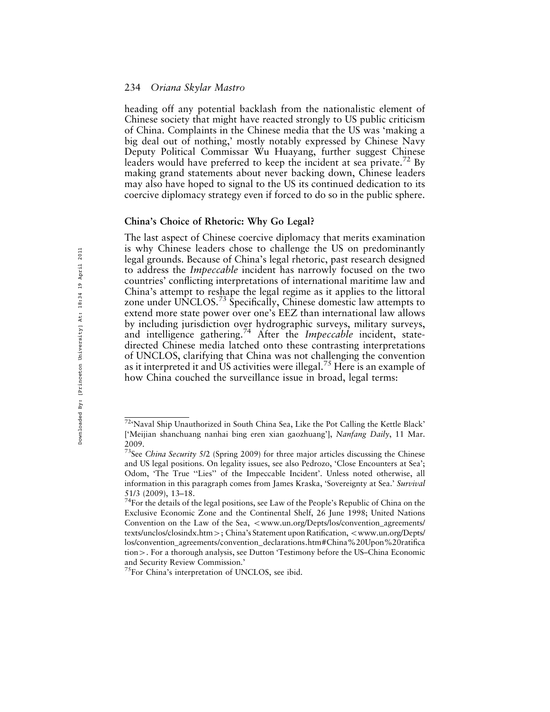heading off any potential backlash from the nationalistic element of Chinese society that might have reacted strongly to US public criticism of China. Complaints in the Chinese media that the US was 'making a big deal out of nothing,' mostly notably expressed by Chinese Navy Deputy Political Commissar Wu Huayang, further suggest Chinese leaders would have preferred to keep the incident at sea private.<sup>72</sup> By making grand statements about never backing down, Chinese leaders may also have hoped to signal to the US its continued dedication to its coercive diplomacy strategy even if forced to do so in the public sphere.

#### China's Choice of Rhetoric: Why Go Legal?

The last aspect of Chinese coercive diplomacy that merits examination is why Chinese leaders chose to challenge the US on predominantly legal grounds. Because of China's legal rhetoric, past research designed to address the Impeccable incident has narrowly focused on the two countries' conflicting interpretations of international maritime law and China's attempt to reshape the legal regime as it applies to the littoral zone under UNCLOS.<sup>73</sup> Specifically, Chinese domestic law attempts to extend more state power over one's EEZ than international law allows by including jurisdiction over hydrographic surveys, military surveys, and intelligence gathering.<sup>74</sup> After the *Impeccable* incident, statedirected Chinese media latched onto these contrasting interpretations of UNCLOS, clarifying that China was not challenging the convention as it interpreted it and US activities were illegal.<sup>75</sup> Here is an example of how China couched the surveillance issue in broad, legal terms:

<sup>72&#</sup>x27;Naval Ship Unauthorized in South China Sea, Like the Pot Calling the Kettle Black' ['Meijian shanchuang nanhai bing eren xian gaozhuang'], Nanfang Daily, 11 Mar. 2009.

 $73$ See China Security 5/2 (Spring 2009) for three major articles discussing the Chinese and US legal positions. On legality issues, see also Pedrozo, 'Close Encounters at Sea'; Odom, 'The True ''Lies'' of the Impeccable Incident'. Unless noted otherwise, all information in this paragraph comes from James Kraska, 'Sovereignty at Sea.' Survival 51/3 (2009), 13–18.

<sup>&</sup>lt;sup>74</sup>For the details of the legal positions, see Law of the People's Republic of China on the Exclusive Economic Zone and the Continental Shelf, 26 June 1998; United Nations Convention on the Law of the Sea, <www.un.org/Depts/los/convention\_agreements/ texts/unclos/closindx.htm >; China's Statement upon Ratification, <www.un.org/Depts/ los/convention\_agreements/convention\_declarations.htm#China%20Upon%20ratifica tion4. For a thorough analysis, see Dutton 'Testimony before the US–China Economic and Security Review Commission.'

<sup>75</sup>For China's interpretation of UNCLOS, see ibid.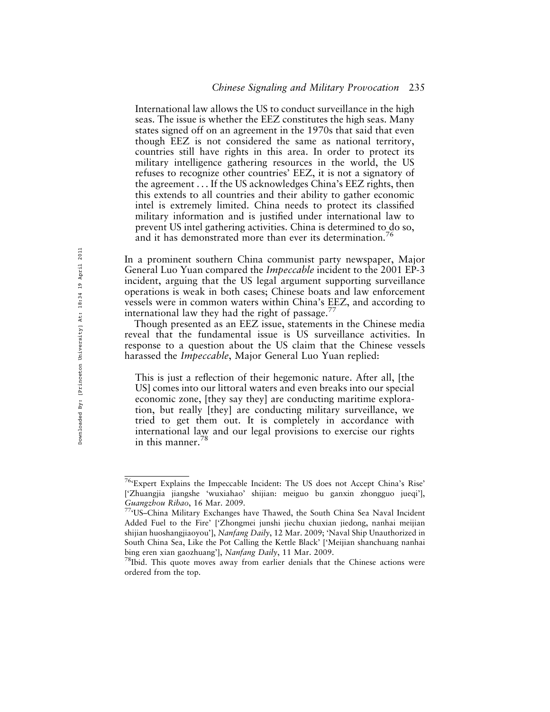International law allows the US to conduct surveillance in the high seas. The issue is whether the EEZ constitutes the high seas. Many states signed off on an agreement in the 1970s that said that even though EEZ is not considered the same as national territory, countries still have rights in this area. In order to protect its military intelligence gathering resources in the world, the US refuses to recognize other countries' EEZ, it is not a signatory of the agreement . . . If the US acknowledges China's EEZ rights, then this extends to all countries and their ability to gather economic intel is extremely limited. China needs to protect its classified military information and is justified under international law to prevent US intel gathering activities. China is determined to do so, and it has demonstrated more than ever its determination.

In a prominent southern China communist party newspaper, Major General Luo Yuan compared the Impeccable incident to the 2001 EP-3 incident, arguing that the US legal argument supporting surveillance operations is weak in both cases; Chinese boats and law enforcement vessels were in common waters within China's EEZ, and according to international law they had the right of passage. $^{77}$ 

Though presented as an EEZ issue, statements in the Chinese media reveal that the fundamental issue is US surveillance activities. In response to a question about the US claim that the Chinese vessels harassed the *Impeccable*, Major General Luo Yuan replied:

This is just a reflection of their hegemonic nature. After all, [the US] comes into our littoral waters and even breaks into our special economic zone, [they say they] are conducting maritime exploration, but really [they] are conducting military surveillance, we tried to get them out. It is completely in accordance with international law and our legal provisions to exercise our rights in this manner. $^{78}$ 

<sup>76&#</sup>x27;Expert Explains the Impeccable Incident: The US does not Accept China's Rise' ['Zhuangjia jiangshe 'wuxiahao' shijian: meiguo bu ganxin zhongguo jueqi'], Guangzhou Ribao, 16 Mar. 2009.<br><sup>77</sup>'US–China Military Exchanges have Thawed, the South China Sea Naval Incident

Added Fuel to the Fire' ['Zhongmei junshi jiechu chuxian jiedong, nanhai meijian shijian huoshangjiaoyou'], Nanfang Daily, 12 Mar. 2009; 'Naval Ship Unauthorized in South China Sea, Like the Pot Calling the Kettle Black' ['Meijian shanchuang nanhai bing eren xian gaozhuang'], Nanfang Daily, 11 Mar. 2009.<br><sup>78</sup>Ibid. This quote moves away from earlier denials that the Chinese actions were

ordered from the top.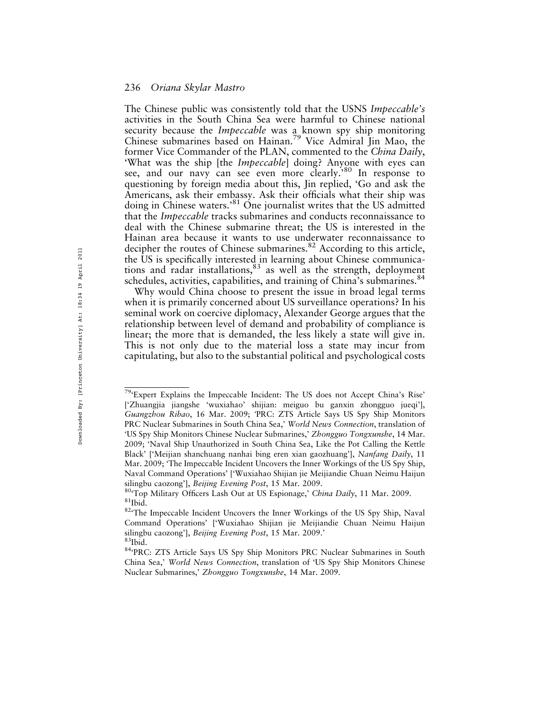The Chinese public was consistently told that the USNS Impeccable's activities in the South China Sea were harmful to Chinese national security because the *Impeccable* was a known spy ship monitoring Chinese submarines based on Hainan.79 Vice Admiral Jin Mao, the former Vice Commander of the PLAN, commented to the China Daily. 'What was the ship [the *Impeccable*] doing? Anyone with eyes can see, and our navy can see even more clearly.'<sup>80</sup> In response to questioning by foreign media about this, Jin replied, 'Go and ask the Americans, ask their embassy. Ask their officials what their ship was doing in Chinese waters.<sup>81</sup> One journalist writes that the US admitted that the *Impeccable* tracks submarines and conducts reconnaissance to deal with the Chinese submarine threat; the US is interested in the Hainan area because it wants to use underwater reconnaissance to decipher the routes of Chinese submarines.<sup>82</sup> According to this article, the US is specifically interested in learning about Chinese communications and radar installations,<sup>83</sup> as well as the strength, deployment schedules, activities, capabilities, and training of China's submarines.<sup>84</sup>

Why would China choose to present the issue in broad legal terms when it is primarily concerned about US surveillance operations? In his seminal work on coercive diplomacy, Alexander George argues that the relationship between level of demand and probability of compliance is linear; the more that is demanded, the less likely a state will give in. This is not only due to the material loss a state may incur from capitulating, but also to the substantial political and psychological costs

<sup>79&#</sup>x27;Expert Explains the Impeccable Incident: The US does not Accept China's Rise' ['Zhuangjia jiangshe 'wuxiahao' shijian: meiguo bu ganxin zhongguo jueqi'], Guangzhou Ribao, 16 Mar. 2009; 'PRC: ZTS Article Says US Spy Ship Monitors PRC Nuclear Submarines in South China Sea,' World News Connection, translation of 'US Spy Ship Monitors Chinese Nuclear Submarines,' Zhongguo Tongxunshe, 14 Mar. 2009; 'Naval Ship Unauthorized in South China Sea, Like the Pot Calling the Kettle Black' ['Meijian shanchuang nanhai bing eren xian gaozhuang'], Nanfang Daily, 11 Mar. 2009; 'The Impeccable Incident Uncovers the Inner Workings of the US Spy Ship, Naval Command Operations' ['Wuxiahao Shijian jie Meijiandie Chuan Neimu Haijun

silingbu caozong'], *Beijing Evening Post*, 15 Mar. 2009.<br><sup>80</sup>'Top Military Officers Lash Out at US Espionage,' China Daily, 11 Mar. 2009.<br><sup>81</sup>Ibid. <sup>82</sup>'The Impeccable Incident Uncovers the Inner Workings of the US Spy Sh

Command Operations' ['Wuxiahao Shijian jie Meijiandie Chuan Neimu Haijun silingbu caozong'], *Beijing Evening Post*, 15 Mar. 2009.'<br><sup>83</sup>Ibid. 84<sup>4</sup>PRC: ZTS Article Says US Spy Ship Monitors PRC Nuclear Submarines in South

China Sea,' World News Connection, translation of 'US Spy Ship Monitors Chinese Nuclear Submarines,' Zhongguo Tongxunshe, 14 Mar. 2009.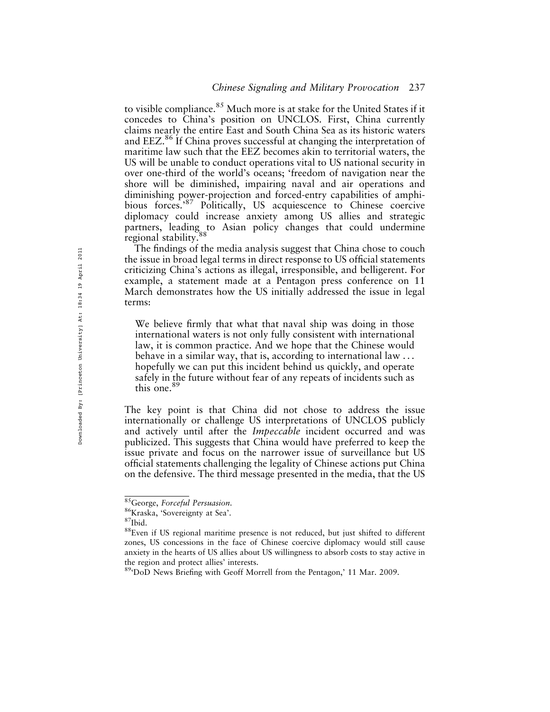to visible compliance.<sup>85</sup> Much more is at stake for the United States if it concedes to China's position on UNCLOS. First, China currently claims nearly the entire East and South China Sea as its historic waters and EEZ.<sup>86</sup> If China proves successful at changing the interpretation of maritime law such that the EEZ becomes akin to territorial waters, the US will be unable to conduct operations vital to US national security in over one-third of the world's oceans; 'freedom of navigation near the shore will be diminished, impairing naval and air operations and diminishing power-projection and forced-entry capabilities of amphibious forces.'<sup>87</sup> Politically, US acquiescence to Chinese coercive diplomacy could increase anxiety among US allies and strategic partners, leading to Asian policy changes that could undermine regional stability.

The findings of the media analysis suggest that China chose to couch the issue in broad legal terms in direct response to US official statements criticizing China's actions as illegal, irresponsible, and belligerent. For example, a statement made at a Pentagon press conference on 11 March demonstrates how the US initially addressed the issue in legal terms:

We believe firmly that what that naval ship was doing in those international waters is not only fully consistent with international law, it is common practice. And we hope that the Chinese would behave in a similar way, that is, according to international law . . . hopefully we can put this incident behind us quickly, and operate safely in the future without fear of any repeats of incidents such as this one.<sup>89</sup>

The key point is that China did not chose to address the issue internationally or challenge US interpretations of UNCLOS publicly and actively until after the Impeccable incident occurred and was publicized. This suggests that China would have preferred to keep the issue private and focus on the narrower issue of surveillance but US official statements challenging the legality of Chinese actions put China on the defensive. The third message presented in the media, that the US

<sup>&</sup>lt;sup>85</sup>George, For*ceful Persuasion*.<br><sup>86</sup>Kraska, 'Sovereignty at Sea'.<br><sup>87</sup>Ibid. 88Even if US regional maritime presence is not reduced, but just shifted to different zones, US concessions in the face of Chinese coercive diplomacy would still cause anxiety in the hearts of US allies about US willingness to absorb costs to stay active in the region and protect allies' interests.

<sup>89&#</sup>x27;DoD News Briefing with Geoff Morrell from the Pentagon,' 11 Mar. 2009.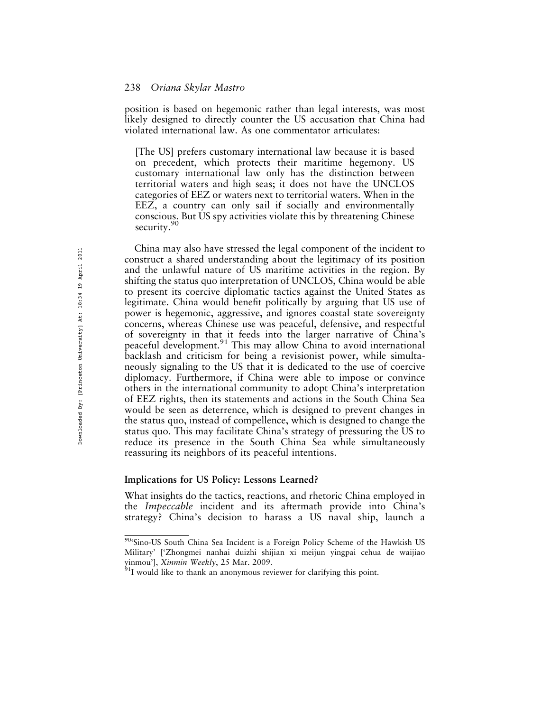position is based on hegemonic rather than legal interests, was most likely designed to directly counter the US accusation that China had violated international law. As one commentator articulates:

[The US] prefers customary international law because it is based on precedent, which protects their maritime hegemony. US customary international law only has the distinction between territorial waters and high seas; it does not have the UNCLOS categories of EEZ or waters next to territorial waters. When in the EEZ, a country can only sail if socially and environmentally conscious. But US spy activities violate this by threatening Chinese security.<sup>90</sup>

China may also have stressed the legal component of the incident to construct a shared understanding about the legitimacy of its position and the unlawful nature of US maritime activities in the region. By shifting the status quo interpretation of UNCLOS, China would be able to present its coercive diplomatic tactics against the United States as legitimate. China would benefit politically by arguing that US use of power is hegemonic, aggressive, and ignores coastal state sovereignty concerns, whereas Chinese use was peaceful, defensive, and respectful of sovereignty in that it feeds into the larger narrative of China's peaceful development.<sup>91</sup> This may allow China to avoid international backlash and criticism for being a revisionist power, while simultaneously signaling to the US that it is dedicated to the use of coercive diplomacy. Furthermore, if China were able to impose or convince others in the international community to adopt China's interpretation of EEZ rights, then its statements and actions in the South China Sea would be seen as deterrence, which is designed to prevent changes in the status quo, instead of compellence, which is designed to change the status quo. This may facilitate China's strategy of pressuring the US to reduce its presence in the South China Sea while simultaneously reassuring its neighbors of its peaceful intentions.

#### Implications for US Policy: Lessons Learned?

What insights do the tactics, reactions, and rhetoric China employed in the Impeccable incident and its aftermath provide into China's strategy? China's decision to harass a US naval ship, launch a

<sup>90&#</sup>x27;Sino-US South China Sea Incident is a Foreign Policy Scheme of the Hawkish US Military' ['Zhongmei nanhai duizhi shijian xi meijun yingpai cehua de waijiao yinmou'], *Xinmin Weekly*, 25 Mar. 2009.<br><sup>91</sup>I would like to thank an anonymous reviewer for clarifying this point.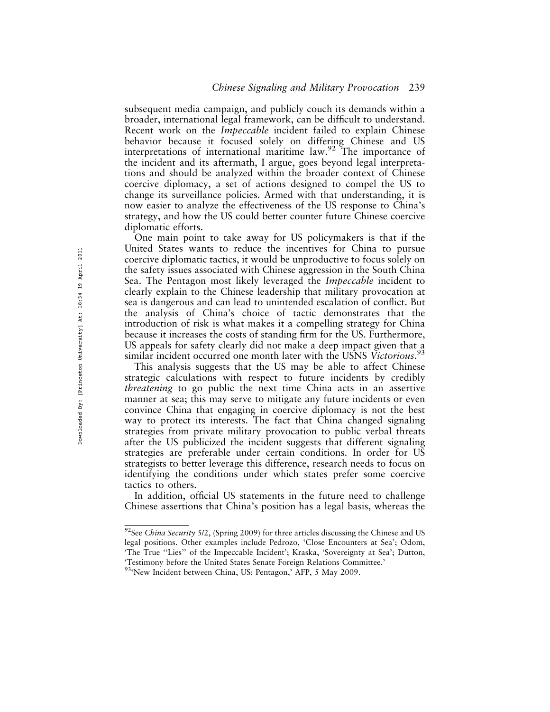subsequent media campaign, and publicly couch its demands within a broader, international legal framework, can be difficult to understand. Recent work on the Impeccable incident failed to explain Chinese behavior because it focused solely on differing Chinese and US interpretations of international maritime law.<sup>92</sup> The importance of the incident and its aftermath, I argue, goes beyond legal interpretations and should be analyzed within the broader context of Chinese coercive diplomacy, a set of actions designed to compel the US to change its surveillance policies. Armed with that understanding, it is now easier to analyze the effectiveness of the US response to China's strategy, and how the US could better counter future Chinese coercive diplomatic efforts.

One main point to take away for US policymakers is that if the United States wants to reduce the incentives for China to pursue coercive diplomatic tactics, it would be unproductive to focus solely on the safety issues associated with Chinese aggression in the South China Sea. The Pentagon most likely leveraged the Impeccable incident to clearly explain to the Chinese leadership that military provocation at sea is dangerous and can lead to unintended escalation of conflict. But the analysis of China's choice of tactic demonstrates that the introduction of risk is what makes it a compelling strategy for China because it increases the costs of standing firm for the US. Furthermore, US appeals for safety clearly did not make a deep impact given that a similar incident occurred one month later with the USNS Victorious.<sup>93</sup>

This analysis suggests that the US may be able to affect Chinese strategic calculations with respect to future incidents by credibly *threatening* to go public the next time China acts in an assertive manner at sea; this may serve to mitigate any future incidents or even convince China that engaging in coercive diplomacy is not the best way to protect its interests. The fact that China changed signaling strategies from private military provocation to public verbal threats after the US publicized the incident suggests that different signaling strategies are preferable under certain conditions. In order for US strategists to better leverage this difference, research needs to focus on identifying the conditions under which states prefer some coercive tactics to others.

In addition, official US statements in the future need to challenge Chinese assertions that China's position has a legal basis, whereas the

 $92$ See China Security 5/2, (Spring 2009) for three articles discussing the Chinese and US legal positions. Other examples include Pedrozo, 'Close Encounters at Sea'; Odom, 'The True "Lies" of the Impeccable Incident'; Kraska, 'Sovereignty at Sea'; Dutton, 'Testimony before the United States Senate Foreign Relations Committee.'

<sup>93&</sup>lt;sup>c</sup>New Incident between China, US: Pentagon,' AFP, 5 May 2009.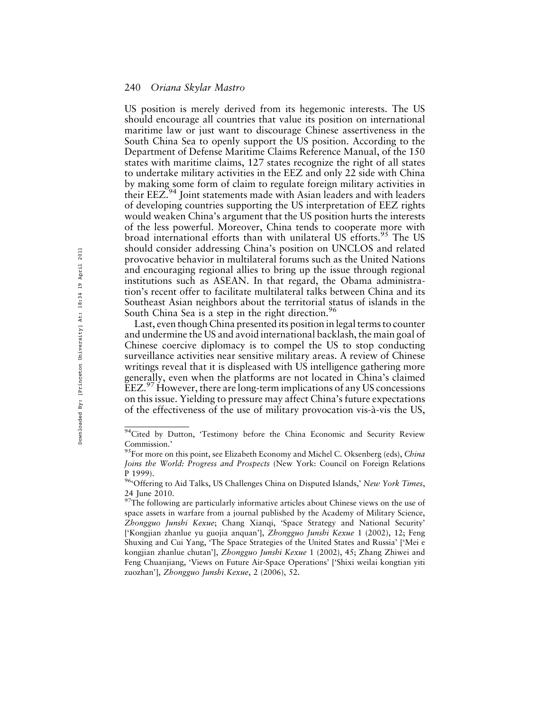US position is merely derived from its hegemonic interests. The US should encourage all countries that value its position on international maritime law or just want to discourage Chinese assertiveness in the South China Sea to openly support the US position. According to the Department of Defense Maritime Claims Reference Manual, of the 150 states with maritime claims, 127 states recognize the right of all states to undertake military activities in the EEZ and only 22 side with China by making some form of claim to regulate foreign military activities in their EEZ.<sup>94</sup> Joint statements made with Asian leaders and with leaders of developing countries supporting the US interpretation of EEZ rights would weaken China's argument that the US position hurts the interests of the less powerful. Moreover, China tends to cooperate more with broad international efforts than with unilateral US efforts.<sup>95</sup> The US should consider addressing China's position on UNCLOS and related provocative behavior in multilateral forums such as the United Nations and encouraging regional allies to bring up the issue through regional institutions such as ASEAN. In that regard, the Obama administration's recent offer to facilitate multilateral talks between China and its Southeast Asian neighbors about the territorial status of islands in the South China Sea is a step in the right direction.<sup>96</sup>

Last, even though China presented its position in legal terms to counter and undermine the US and avoid international backlash, the main goal of Chinese coercive diplomacy is to compel the US to stop conducting surveillance activities near sensitive military areas. A review of Chinese writings reveal that it is displeased with US intelligence gathering more generally, even when the platforms are not located in China's claimed  $EEZ<sup>97</sup>$  However, there are long-term implications of any US concessions on this issue. Yielding to pressure may affect China's future expectations of the effectiveness of the use of military provocation vis-à-vis the US,

<sup>&</sup>lt;sup>94</sup>Cited by Dutton, 'Testimony before the China Economic and Security Review Commission.'

<sup>&</sup>lt;sup>95</sup>For more on this point, see Elizabeth Economy and Michel C. Oksenberg (eds), China Joins the World: Progress and Prospects (New York: Council on Foreign Relations P 1999).

<sup>&</sup>lt;sup>96</sup>'Offering to Aid Talks, US Challenges China on Disputed Islands,' New York Times, 24 June 2010.

 $97$ The following are particularly informative articles about Chinese views on the use of space assets in warfare from a journal published by the Academy of Military Science, Zhongguo Junshi Kexue; Chang Xianqi, 'Space Strategy and National Security' ['Kongjian zhanlue yu guojia anquan'], Zhongguo Junshi Kexue 1 (2002), 12; Feng Shuxing and Cui Yang, 'The Space Strategies of the United States and Russia' ['Mei e kongjian zhanlue chutan'], Zhongguo Junshi Kexue 1 (2002), 45; Zhang Zhiwei and Feng Chuanjiang, 'Views on Future Air-Space Operations' ['Shixi weilai kongtian yiti zuozhan'], Zhongguo Junshi Kexue, 2 (2006), 52.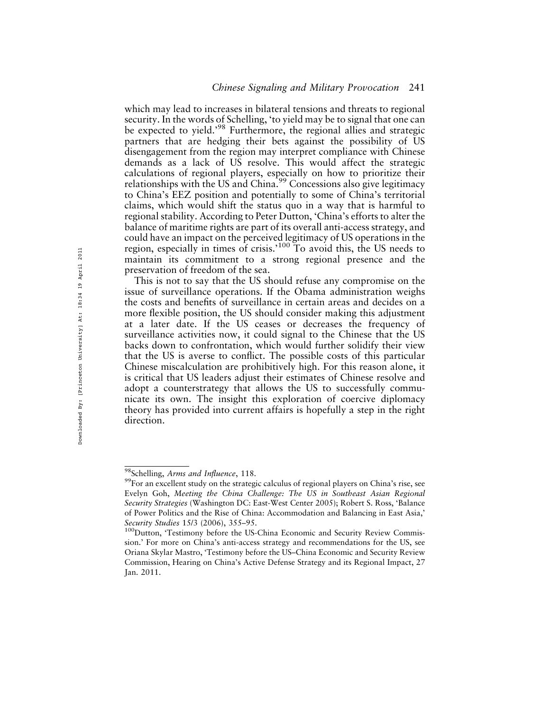which may lead to increases in bilateral tensions and threats to regional security. In the words of Schelling, 'to yield may be to signal that one can be expected to yield.<sup>98</sup> Furthermore, the regional allies and strategic partners that are hedging their bets against the possibility of US disengagement from the region may interpret compliance with Chinese demands as a lack of US resolve. This would affect the strategic calculations of regional players, especially on how to prioritize their relationships with the US and China.<sup>99</sup> Concessions also give legitimacy to China's EEZ position and potentially to some of China's territorial claims, which would shift the status quo in a way that is harmful to regional stability. According to Peter Dutton, 'China's efforts to alter the balance of maritime rights are part of its overall anti-access strategy, and could have an impact on the perceived legitimacy of US operations in the region, especially in times of crisis.<sup>'100</sup> To avoid this, the US needs to maintain its commitment to a strong regional presence and the preservation of freedom of the sea.

This is not to say that the US should refuse any compromise on the issue of surveillance operations. If the Obama administration weighs the costs and benefits of surveillance in certain areas and decides on a more flexible position, the US should consider making this adjustment at a later date. If the US ceases or decreases the frequency of surveillance activities now, it could signal to the Chinese that the US backs down to confrontation, which would further solidify their view that the US is averse to conflict. The possible costs of this particular Chinese miscalculation are prohibitively high. For this reason alone, it is critical that US leaders adjust their estimates of Chinese resolve and adopt a counterstrategy that allows the US to successfully communicate its own. The insight this exploration of coercive diplomacy theory has provided into current affairs is hopefully a step in the right direction.

<sup>&</sup>lt;sup>98</sup>Schelling, Arms and Influence, 118.<br><sup>99</sup>For an excellent study on the strategic calculus of regional players on China's rise, see Evelyn Goh, Meeting the China Challenge: The US in Southeast Asian Regional Security Strategies (Washington DC: East-West Center 2005); Robert S. Ross, 'Balance of Power Politics and the Rise of China: Accommodation and Balancing in East Asia,' Security Studies 15/3 (2006), 355–95.<br><sup>100</sup>Dutton, 'Testimony before the US-China Economic and Security Review Commis-

sion.' For more on China's anti-access strategy and recommendations for the US, see Oriana Skylar Mastro, 'Testimony before the US–China Economic and Security Review Commission, Hearing on China's Active Defense Strategy and its Regional Impact, 27 Jan. 2011.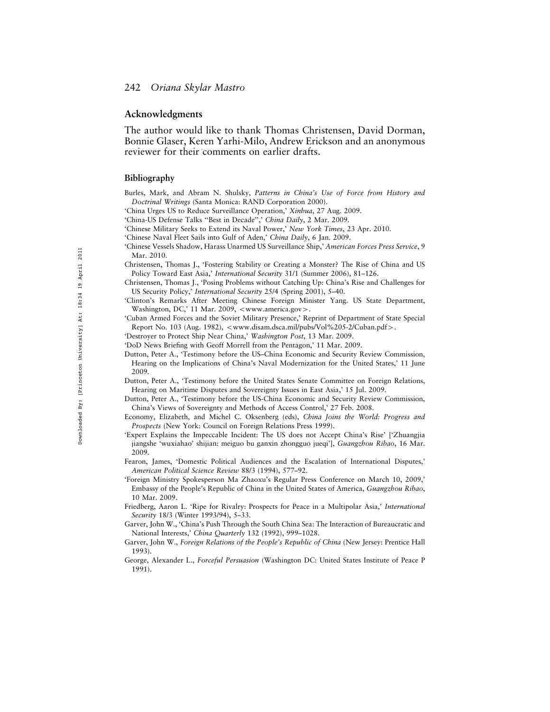#### Acknowledgments

The author would like to thank Thomas Christensen, David Dorman, Bonnie Glaser, Keren Yarhi-Milo, Andrew Erickson and an anonymous reviewer for their comments on earlier drafts.

#### Bibliography

- Burles, Mark, and Abram N. Shulsky, Patterns in China's Use of Force from History and Doctrinal Writings (Santa Monica: RAND Corporation 2000).
- 'China Urges US to Reduce Surveillance Operation,' Xinhua, 27 Aug. 2009.
- 'China-US Defense Talks "Best in Decade",' China Daily, 2 Mar. 2009.
- 'Chinese Military Seeks to Extend its Naval Power,' New York Times, 23 Apr. 2010.
- 'Chinese Naval Fleet Sails into Gulf of Aden,' China Daily, 6 Jan. 2009.
- 'Chinese Vessels Shadow, Harass Unarmed US Surveillance Ship,' American Forces Press Service, 9 Mar. 2010.
- Christensen, Thomas J., 'Fostering Stability or Creating a Monster? The Rise of China and US Policy Toward East Asia,' International Security 31/1 (Summer 2006), 81–126.
- Christensen, Thomas J., 'Posing Problems without Catching Up: China's Rise and Challenges for US Security Policy,' International Security 25/4 (Spring 2001), 5-40.
- 'Clinton's Remarks After Meeting Chinese Foreign Minister Yang. US State Department, Washington, DC,' 11 Mar. 2009, <www.america.gov>.
- 'Cuban Armed Forces and the Soviet Military Presence,' Reprint of Department of State Special Report No. 103 (Aug. 1982), <www.disam.dsca.mil/pubs/Vol%205-2/Cuban.pdf>.
- 'Destroyer to Protect Ship Near China,' Washington Post, 13 Mar. 2009.
- 'DoD News Briefing with Geoff Morrell from the Pentagon,' 11 Mar. 2009.
- Dutton, Peter A., 'Testimony before the US–China Economic and Security Review Commission, Hearing on the Implications of China's Naval Modernization for the United States,' 11 June 2009.
- Dutton, Peter A., 'Testimony before the United States Senate Committee on Foreign Relations, Hearing on Maritime Disputes and Sovereignty Issues in East Asia,' 15 Jul. 2009.
- Dutton, Peter A., 'Testimony before the US-China Economic and Security Review Commission, China's Views of Sovereignty and Methods of Access Control,' 27 Feb. 2008.
- Economy, Elizabeth, and Michel C. Oksenberg (eds), China Joins the World: Progress and Prospects (New York: Council on Foreign Relations Press 1999).
- 'Expert Explains the Impeccable Incident: The US does not Accept China's Rise' ['Zhuangjia jiangshe 'wuxiahao' shijian: meiguo bu ganxin zhongguo jueqi'], Guangzhou Ribao, 16 Mar. 2009.
- Fearon, James, 'Domestic Political Audiences and the Escalation of International Disputes,' American Political Science Review 88/3 (1994), 577–92.
- 'Foreign Ministry Spokesperson Ma Zhaoxu's Regular Press Conference on March 10, 2009,' Embassy of the People's Republic of China in the United States of America, Guangzhou Ribao, 10 Mar. 2009.
- Friedberg, Aaron L. 'Ripe for Rivalry: Prospects for Peace in a Multipolar Asia,' International Security 18/3 (Winter 1993/94), 5–33.
- Garver, John W., 'China's Push Through the South China Sea: The Interaction of Bureaucratic and National Interests,' China Quarterly 132 (1992), 999–1028.
- Garver, John W., Foreign Relations of the People's Republic of China (New Jersey: Prentice Hall 1993).
- George, Alexander L., Forceful Persuasion (Washington DC: United States Institute of Peace P 1991).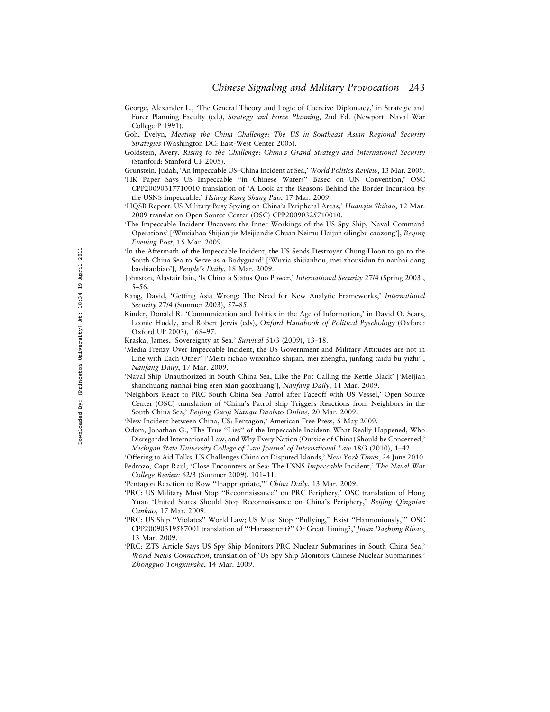- George, Alexander L., 'The General Theory and Logic of Coercive Diplomacy,' in Strategic and Force Planning Faculty (ed.), Strategy and Force Planning, 2nd Ed. (Newport: Naval War College P 1991).
- Goh, Evelyn, Meeting the China Challenge: The US in Southeast Asian Regional Security Strategies (Washington DC: East-West Center 2005).
- Goldstein, Avery, Rising to the Challenge: China's Grand Strategy and International Security (Stanford: Stanford UP 2005).
- Grunstein, Judah, 'An Impeccable US–China Incident at Sea,' World Politics Review, 13 Mar. 2009.
- 'HK Paper Says US Impeccable ''in Chinese Waters'' Based on UN Convention,' OSC CPP20090317710010 translation of 'A Look at the Reasons Behind the Border Incursion by the USNS Impeccable,' Hsiang Kang Shang Pao, 17 Mar. 2009.
- 'HQSB Report: US Military Busy Spying on China's Peripheral Areas,' Huanqiu Shibao, 12 Mar. 2009 translation Open Source Center (OSC) CPP20090325710010.
- 'The Impeccable Incident Uncovers the Inner Workings of the US Spy Ship, Naval Command Operations' ['Wuxiahao Shijian jie Meijiandie Chuan Neimu Haijun silingbu caozong'], Beijing Evening Post, 15 Mar. 2009.
- 'In the Aftermath of the Impeccable Incident, the US Sends Destroyer Chung-Hoon to go to the South China Sea to Serve as a Bodyguard' ['Wuxia shijianhou, mei zhousidun fu nanhai dang baobiaobiao'], People's Daily, 18 Mar. 2009.
- Johnston, Alastair Iain, 'Is China a Status Quo Power,' International Security 27/4 (Spring 2003), 5–56.
- Kang, David, 'Getting Asia Wrong: The Need for New Analytic Frameworks,' International Security 27/4 (Summer 2003), 57–85.
- Kinder, Donald R. 'Communication and Politics in the Age of Information,' in David O. Sears, Leonie Huddy, and Robert Jervis (eds), Oxford Handbook of Political Pyschology (Oxford: Oxford UP 2003), 168–97.
- Kraska, James, 'Sovereignty at Sea.' Survival 51/3 (2009), 13-18.
- 'Media Frenzy Over Impeccable Incident, the US Government and Military Attitudes are not in Line with Each Other' ['Meiti richao wuxiahao shijian, mei zhengfu, junfang taidu bu yizhi'], Nanfang Daily, 17 Mar. 2009.
- 'Naval Ship Unauthorized in South China Sea, Like the Pot Calling the Kettle Black' ['Meijian shanchuang nanhai bing eren xian gaozhuang'], Nanfang Daily, 11 Mar. 2009.
- 'Neighbors React to PRC South China Sea Patrol after Faceoff with US Vessel,' Open Source Center (OSC) translation of 'China's Patrol Ship Triggers Reactions from Neighbors in the South China Sea,' Beijing Guoji Xianqu Daobao Online, 20 Mar. 2009.
- 'New Incident between China, US: Pentagon,' American Free Press, 5 May 2009.
- Odom, Jonathan G., 'The True ''Lies'' of the Impeccable Incident: What Really Happened, Who Disregarded International Law, and Why Every Nation (Outside of China) Should be Concerned,' Michigan State University College of Law Journal of International Law 18/3 (2010), 1–42.
- 'Offering to Aid Talks, US Challenges China on Disputed Islands,' New York Times, 24 June 2010. Pedrozo, Capt Raul, 'Close Encounters at Sea: The USNS Impeccable Incident,' The Naval War College Review 62/3 (Summer 2009), 101–11.
- 'Pentagon Reaction to Row "Inappropriate," China Daily, 13 Mar. 2009.
- 'PRC: US Military Must Stop ''Reconnaissance'' on PRC Periphery,' OSC translation of Hong Yuan 'United States Should Stop Reconnaissance on China's Periphery,' Beijing Qingnian Cankao, 17 Mar. 2009.
- 'PRC: US Ship ''Violates'' World Law; US Must Stop ''Bullying,'' Exist ''Harmoniously,''' OSC CPP20090319587001 translation of '''Harassment?'' Or Great Timing?,' Jinan Dazhong Ribao, 13 Mar. 2009.
- 'PRC: ZTS Article Says US Spy Ship Monitors PRC Nuclear Submarines in South China Sea,' World News Connection, translation of 'US Spy Ship Monitors Chinese Nuclear Submarines,' Zhongguo Tongxunshe, 14 Mar. 2009.